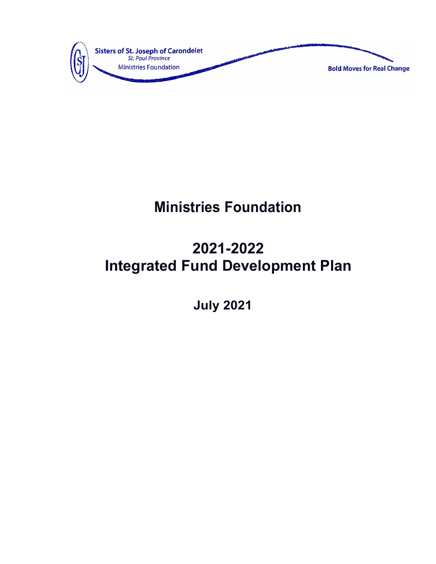

# **Ministries Foundation**

# **2021-2022 Integrated Fund Development Plan**

 **July 2021**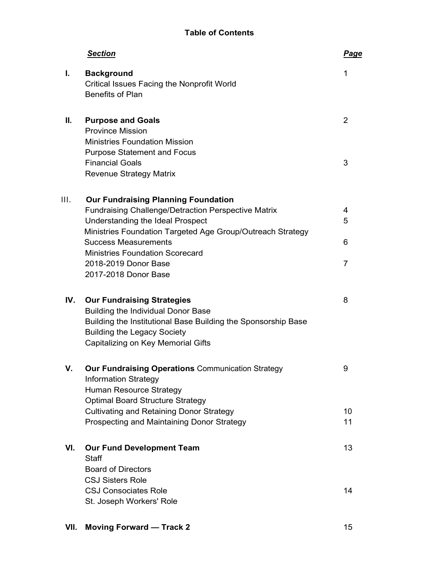# **Table of Contents**

|      | <b>Section</b>                                                                                                                                                                                                                                                                                                                      | <b>Page</b>      |
|------|-------------------------------------------------------------------------------------------------------------------------------------------------------------------------------------------------------------------------------------------------------------------------------------------------------------------------------------|------------------|
| Ι.   | <b>Background</b><br><b>Critical Issues Facing the Nonprofit World</b><br><b>Benefits of Plan</b>                                                                                                                                                                                                                                   | 1                |
| П.   | <b>Purpose and Goals</b><br><b>Province Mission</b><br><b>Ministries Foundation Mission</b><br><b>Purpose Statement and Focus</b>                                                                                                                                                                                                   | 2                |
|      | <b>Financial Goals</b><br><b>Revenue Strategy Matrix</b>                                                                                                                                                                                                                                                                            | 3                |
| III. | <b>Our Fundraising Planning Foundation</b><br><b>Fundraising Challenge/Detraction Perspective Matrix</b><br>Understanding the Ideal Prospect<br>Ministries Foundation Targeted Age Group/Outreach Strategy<br><b>Success Measurements</b><br><b>Ministries Foundation Scorecard</b><br>2018-2019 Donor Base<br>2017-2018 Donor Base | 4<br>5<br>6<br>7 |
| IV.  | <b>Our Fundraising Strategies</b><br><b>Building the Individual Donor Base</b><br>Building the Institutional Base Building the Sponsorship Base<br><b>Building the Legacy Society</b><br>Capitalizing on Key Memorial Gifts                                                                                                         | 8                |
| ν.   | <b>Our Fundraising Operations Communication Strategy</b><br><b>Information Strategy</b><br><b>Human Resource Strategy</b><br><b>Optimal Board Structure Strategy</b><br><b>Cultivating and Retaining Donor Strategy</b><br>Prospecting and Maintaining Donor Strategy                                                               | 9<br>10<br>11    |
| VI.  | <b>Our Fund Development Team</b><br><b>Staff</b><br><b>Board of Directors</b><br><b>CSJ Sisters Role</b>                                                                                                                                                                                                                            | 13               |
|      | <b>CSJ Consociates Role</b><br>St. Joseph Workers' Role                                                                                                                                                                                                                                                                             | 14               |

**VII. Moving Forward — Track 2** 15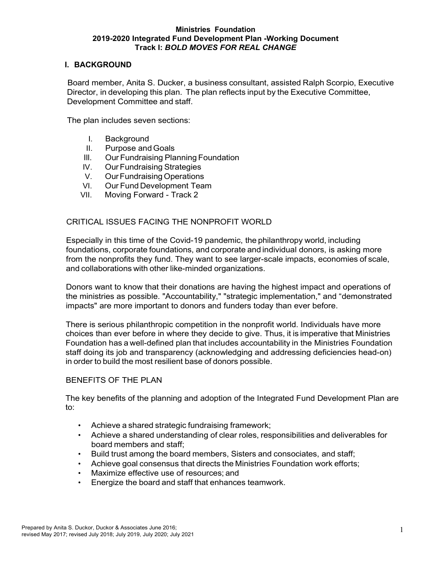## **I. BACKGROUND**

Board member, Anita S. Ducker, a business consultant, assisted Ralph Scorpio, Executive Director, in developing this plan. The plan reflects input by the Executive Committee, Development Committee and staff.

The plan includes seven sections:

- I. Background
- II. Purpose and Goals
- Ill. Our Fundraising Planning Foundation
- IV. OurFundraising Strategies
- V. OurFundraising Operations
- VI. Our Fund Development Team
- VII. Moving Forward Track 2

## CRITICAL ISSUES FACING THE NONPROFIT WORLD

Especially in this time of the Covid-19 pandemic, the philanthropy world, including foundations, corporate foundations, and corporate and individual donors, is asking more from the nonprofits they fund. They want to see larger-scale impacts, economies of scale, and collaborations with other like-minded organizations.

Donors want to know that their donations are having the highest impact and operations of the ministries as possible. "Accountability," "strategic implementation," and "demonstrated impacts" are more important to donors and funders today than ever before.

There is serious philanthropic competition in the nonprofit world. Individuals have more choices than ever before in where they decide to give. Thus, it is imperative that Ministries Foundation has a well-defined plan that includes accountability in the Ministries Foundation staff doing its job and transparency (acknowledging and addressing deficiencies head-on) in order to build the most resilient base of donors possible.

## BENEFITS OF THE PLAN

The key benefits of the planning and adoption of the Integrated Fund Development Plan are to:

- Achieve a shared strategic fundraising framework;
- Achieve a shared understanding of clear roles, responsibilities and deliverables for board members and staff;
- Build trust among the board members, Sisters and consociates, and staff;
- Achieve goal consensus that directs the Ministries Foundation work efforts;
- Maximize effective use of resources; and
- Energize the board and staff that enhances teamwork.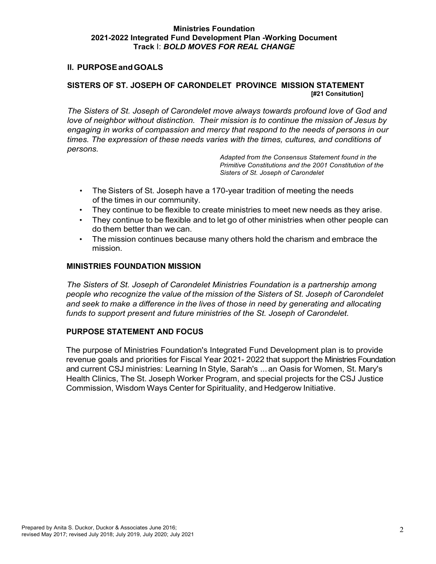## **II. PURPOSEandGOALS**

# **SISTERS OF ST. JOSEPH OF CARONDELET PROVINCE MISSION STATEMENT [#21 Consitution]**

*The Sisters of St. Joseph of Carondelet move always towards profound love of God and love of neighbor without distinction. Their mission is to continue the mission of Jesus by engaging in works of compassion and mercy that respond to the needs of persons in our times. The expression of these needs varies with the times, cultures, and conditions of persons.*

> *Adapted from the Consensus Statement found in the Primitive Constitutions and the 2001 Constitution of the Sisters of St. Joseph of Carondelet*

- The Sisters of St. Joseph have a 170-year tradition of meeting the needs of the times in our community.
- They continue to be flexible to create ministries to meet new needs as they arise.
- They continue to be flexible and to let go of other ministries when other people can do them better than we can.
- The mission continues because many others hold the charism and embrace the mission.

## **MINISTRIES FOUNDATION MISSION**

*The Sisters of St. Joseph of Carondelet Ministries Foundation is a partnership among people who recognize the value of the mission of the Sisters of St. Joseph of Carondelet and seek to make a difference in the lives of those in need by generating and allocating funds to support present and future ministries of the St. Joseph of Carondelet.*

## **PURPOSE STATEMENT AND FOCUS**

The purpose of Ministries Foundation's Integrated Fund Development plan is to provide revenue goals and priorities for Fiscal Year 2021- 2022 that support the Ministries Foundation and current CSJ ministries: Learning In Style, Sarah's ...an Oasis for Women, St. Mary's Health Clinics, The St. Joseph Worker Program, and special projects for the CSJ Justice Commission, Wisdom Ways Center for Spirituality, and Hedgerow Initiative.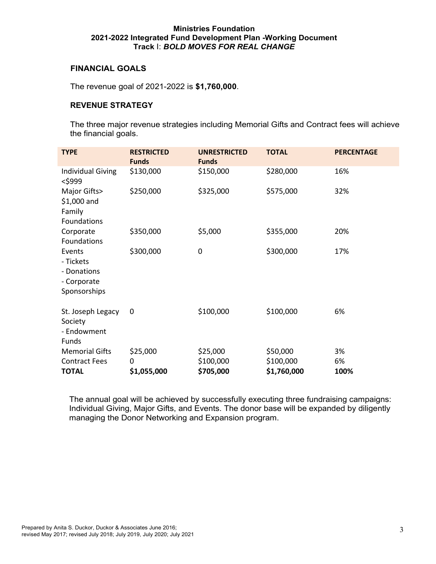## **FINANCIAL GOALS**

The revenue goal of 2021-2022 is **\$1,760,000**.

## **REVENUE STRATEGY**

The three major revenue strategies including Memorial Gifts and Contract fees will achieve the financial goals.

| <b>TYPE</b>                                                       | <b>RESTRICTED</b><br><b>Funds</b> | <b>UNRESTRICTED</b><br><b>Funds</b> | <b>TOTAL</b> | <b>PERCENTAGE</b> |
|-------------------------------------------------------------------|-----------------------------------|-------------------------------------|--------------|-------------------|
| <b>Individual Giving</b><br>$<$ \$999                             | \$130,000                         | \$150,000                           | \$280,000    | 16%               |
| Major Gifts><br>\$1,000 and<br>Family<br>Foundations              | \$250,000                         | \$325,000                           | \$575,000    | 32%               |
| Corporate<br>Foundations                                          | \$350,000                         | \$5,000                             | \$355,000    | 20%               |
| Events<br>- Tickets<br>- Donations<br>- Corporate<br>Sponsorships | \$300,000                         | $\boldsymbol{0}$                    | \$300,000    | 17%               |
| St. Joseph Legacy<br>Society<br>- Endowment<br>Funds              | 0                                 | \$100,000                           | \$100,000    | 6%                |
| <b>Memorial Gifts</b>                                             | \$25,000                          | \$25,000                            | \$50,000     | 3%                |
| <b>Contract Fees</b>                                              | 0                                 | \$100,000                           | \$100,000    | 6%                |
| <b>TOTAL</b>                                                      | \$1,055,000                       | \$705,000                           | \$1,760,000  | 100%              |

The annual goal will be achieved by successfully executing three fundraising campaigns: Individual Giving, Major Gifts, and Events. The donor base will be expanded by diligently managing the Donor Networking and Expansion program.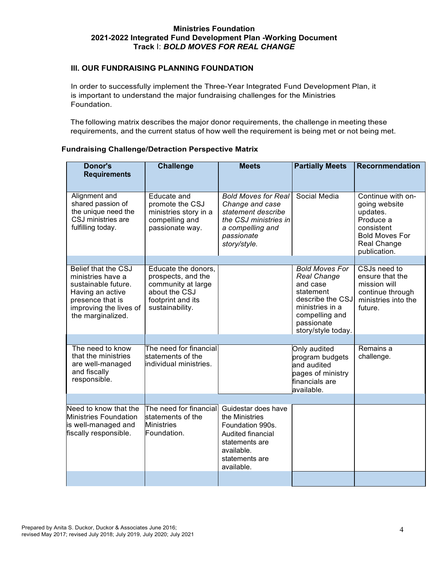## **Ill. OUR FUNDRAISING PLANNING FOUNDATION**

In order to successfully implement the Three-Year Integrated Fund Development Plan, it is important to understand the major fundraising challenges for the Ministries Foundation.

The following matrix describes the major donor requirements, the challenge in meeting these requirements, and the current status of how well the requirement is being met or not being met.

| <b>Donor's</b><br><b>Requirements</b>                                                                                                                         | <b>Challenge</b>                                                                                                         | <b>Meets</b>                                                                                                                                          | <b>Partially Meets</b>                                                                                                                                            | <b>Recornmendation</b>                                                                                                            |
|---------------------------------------------------------------------------------------------------------------------------------------------------------------|--------------------------------------------------------------------------------------------------------------------------|-------------------------------------------------------------------------------------------------------------------------------------------------------|-------------------------------------------------------------------------------------------------------------------------------------------------------------------|-----------------------------------------------------------------------------------------------------------------------------------|
| Alignment and<br>shared passion of<br>the unique need the<br>CSJ ministries are<br>fulfilling today.                                                          | Educate and<br>promote the CSJ<br>ministries story in a<br>compelling and<br>passionate way.                             | <b>Bold Moves for Real</b><br>Change and case<br>statement describe<br>the CSJ ministries in<br>a compelling and<br>passionate<br>story/style.        | Social Media                                                                                                                                                      | Continue with on-<br>going website<br>updates.<br>Produce a<br>consistent<br><b>Bold Moves For</b><br>Real Change<br>publication. |
|                                                                                                                                                               |                                                                                                                          |                                                                                                                                                       |                                                                                                                                                                   |                                                                                                                                   |
| <b>Belief that the CSJ</b><br>ministries have a<br>sustainable future.<br>Having an active<br>presence that is<br>improving the lives of<br>the marginalized. | Educate the donors,<br>prospects, and the<br>community at large<br>about the CSJ<br>footprint and its<br>sustainability. |                                                                                                                                                       | <b>Bold Moves For</b><br><b>Real Change</b><br>and case<br>statement<br>describe the CSJ<br>ministries in a<br>compelling and<br>passionate<br>story/style today. | CSJs need to<br>ensure that the<br>mission will<br>continue through<br>ministries into the<br>future.                             |
|                                                                                                                                                               |                                                                                                                          |                                                                                                                                                       |                                                                                                                                                                   |                                                                                                                                   |
| The need to know<br>that the ministries<br>are well-managed<br>and fiscally<br>responsible.                                                                   | The need for financial<br>statements of the<br>individual ministries.                                                    |                                                                                                                                                       | Only audited<br>program budgets<br>and audited<br>pages of ministry<br>financials are<br>available.                                                               | Remains a<br>challenge.                                                                                                           |
|                                                                                                                                                               |                                                                                                                          |                                                                                                                                                       |                                                                                                                                                                   |                                                                                                                                   |
| Need to know that the<br><b>Ministries Foundation</b><br>is well-managed and<br>fiscally responsible.                                                         | The need for financial<br>statements of the<br><b>Ministries</b><br>Foundation.                                          | Guidestar does have<br>the Ministries<br>Foundation 990s.<br><b>Audited financial</b><br>statements are<br>available.<br>statements are<br>available. |                                                                                                                                                                   |                                                                                                                                   |
|                                                                                                                                                               |                                                                                                                          |                                                                                                                                                       |                                                                                                                                                                   |                                                                                                                                   |

## **Fundraising Challenge/Detraction Perspective Matrix**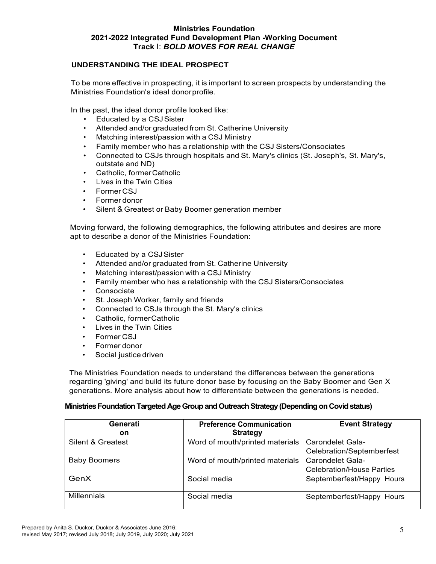## **UNDERSTANDING THE IDEAL PROSPECT**

To be more effective in prospecting, it is important to screen prospects by understanding the Ministries Foundation's ideal donorprofile.

In the past, the ideal donor profile looked like:

- Educated by a CSJSister
- Attended and/or graduated from St. Catherine University
- Matching interest/passion with a CSJ Ministry
- Family member who has a relationship with the CSJ Sisters/Consociates
- Connected to CSJs through hospitals and St. Mary's clinics (St. Joseph's, St. Mary's, outstate and ND)
- Catholic, formerCatholic
- Lives in the Twin Cities
- Former CSJ
- Former donor
- Silent & Greatest or Baby Boomer generation member

Moving forward, the following demographics, the following attributes and desires are more apt to describe a donor of the Ministries Foundation:

- Educated by a CSJSister
- Attended and/or graduated from St. Catherine University
- Matching interest/passion with a CSJ Ministry
- Family member who has a relationship with the CSJ Sisters/Consociates
- Consociate
- St. Joseph Worker, family and friends
- Connected to CSJs through the St. Mary's clinics
- Catholic, formerCatholic
- Lives in the Twin Cities
- Former CSJ
- Former donor
- Social justice driven

The Ministries Foundation needs to understand the differences between the generations regarding 'giving' and build its future donor base by focusing on the Baby Boomer and Gen X generations. More analysis about how to differentiate between the generations is needed.

## **Ministries Foundation Targeted Age Group and Outreach Strategy(Depending on Covid status)**

| Generati<br><b>on</b> | <b>Preference Communication</b><br><b>Strategy</b> | <b>Event Strategy</b>            |
|-----------------------|----------------------------------------------------|----------------------------------|
| Silent & Greatest     | Word of mouth/printed materials                    | Carondelet Gala-                 |
|                       |                                                    | Celebration/Septemberfest        |
| <b>Baby Boomers</b>   | Word of mouth/printed materials                    | <b>Carondelet Gala-</b>          |
|                       |                                                    | <b>Celebration/House Parties</b> |
| GenX                  | Social media                                       | Septemberfest/Happy Hours        |
| <b>Millennials</b>    | Social media                                       | Septemberfest/Happy Hours        |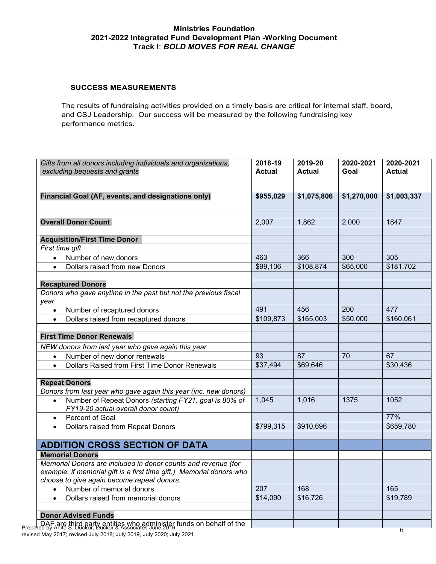#### **SUCCESS MEASUREMENTS**

The results of fundraising activities provided on a timely basis are critical for internal staff, board, and CSJ Leadership. Our success will be measured by the following fundraising key performance metrics.

| Gifts from all donors including individuals and organizations,<br>excluding bequests and grants                                                                                     | 2018-19<br><b>Actual</b> | 2019-20<br><b>Actual</b> | 2020-2021<br>Goal | 2020-2021<br><b>Actual</b> |
|-------------------------------------------------------------------------------------------------------------------------------------------------------------------------------------|--------------------------|--------------------------|-------------------|----------------------------|
|                                                                                                                                                                                     |                          |                          |                   |                            |
| Financial Goal (AF, events, and designations only)                                                                                                                                  | \$955,029                | \$1,075,806              | \$1,270,000       | \$1,003,337                |
| <b>Overall Donor Count</b>                                                                                                                                                          | 2,007                    | 1,862                    | 2,000             | 1847                       |
|                                                                                                                                                                                     |                          |                          |                   |                            |
| <b>Acquisition/First Time Donor</b>                                                                                                                                                 |                          |                          |                   |                            |
| First time gift                                                                                                                                                                     |                          |                          |                   |                            |
| Number of new donors<br>$\bullet$                                                                                                                                                   | 463                      | 366                      | 300               | 305                        |
| Dollars raised from new Donors                                                                                                                                                      | \$99,106                 | \$108,874                | \$65,000          | \$181,702                  |
| <b>Recaptured Donors</b>                                                                                                                                                            |                          |                          |                   |                            |
| Donors who gave anytime in the past but not the previous fiscal<br>year                                                                                                             |                          |                          |                   |                            |
| Number of recaptured donors<br>$\bullet$                                                                                                                                            | 491                      | 456                      | 200               | 477                        |
| Dollars raised from recaptured donors<br>$\bullet$                                                                                                                                  | \$109,873                | \$165,003                | \$50,000          | \$160,061                  |
| <b>First Time Donor Renewals</b>                                                                                                                                                    |                          |                          |                   |                            |
| NEW donors from last year who gave again this year                                                                                                                                  |                          |                          |                   |                            |
| Number of new donor renewals<br>$\bullet$                                                                                                                                           | 93                       | 87                       | 70                | 67                         |
| Dollars Raised from First Time Donor Renewals<br>$\bullet$                                                                                                                          | \$37,494                 | \$69,646                 |                   | \$30,436                   |
| <b>Repeat Donors</b>                                                                                                                                                                |                          |                          |                   |                            |
| Donors from last year who gave again this year (inc. new donors)                                                                                                                    |                          |                          |                   |                            |
| Number of Repeat Donors (starting FY21, goal is 80% of<br>$\bullet$<br>FY19-20 actual overall donor count)                                                                          | 1,045                    | 1,016                    | 1375              | 1052                       |
| Percent of Goal<br>$\bullet$                                                                                                                                                        |                          |                          |                   | 77%                        |
| Dollars raised from Repeat Donors                                                                                                                                                   | \$799,315                | \$910,696                |                   | \$659,780                  |
| <b>ADDITION CROSS SECTION OF DATA</b>                                                                                                                                               |                          |                          |                   |                            |
| <b>Memorial Donors</b>                                                                                                                                                              |                          |                          |                   |                            |
| Memorial Donors are included in donor counts and revenue (for<br>example, if memorial gift is a first time gift.) Memorial donors who<br>choose to give again become repeat donors. |                          |                          |                   |                            |
| Number of memorial donors<br>$\bullet$                                                                                                                                              | 207                      | 168                      |                   | 165                        |
| Dollars raised from memorial donors<br>$\bullet$                                                                                                                                    | \$14,090                 | \$16,726                 |                   | \$19,789                   |
| <b>Donor Advised Funds</b>                                                                                                                                                          |                          |                          |                   |                            |
| DAF are third party entities who administer funds on behalf of the                                                                                                                  |                          |                          |                   |                            |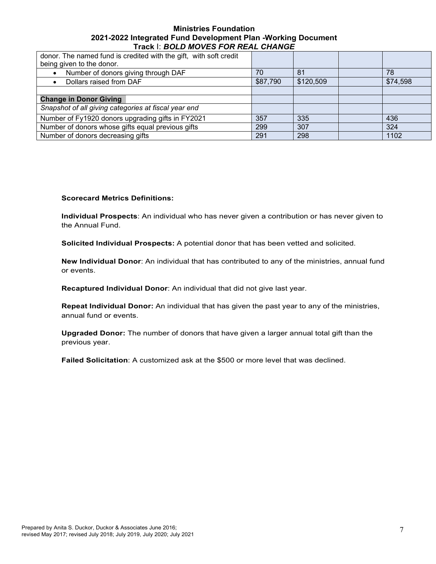| donor. The named fund is credited with the gift, with soft credit<br>being given to the donor. |          |           |          |
|------------------------------------------------------------------------------------------------|----------|-----------|----------|
| Number of donors giving through DAF                                                            | 70       | 81        | 78       |
| Dollars raised from DAF                                                                        | \$87,790 | \$120,509 | \$74,598 |
|                                                                                                |          |           |          |
| <b>Change in Donor Giving</b>                                                                  |          |           |          |
| Snapshot of all giving categories at fiscal year end                                           |          |           |          |
| Number of Fy1920 donors upgrading gifts in FY2021                                              | 357      | 335       | 436      |
| Number of donors whose gifts equal previous gifts                                              | 299      | 307       | 324      |
| Number of donors decreasing gifts                                                              | 291      | 298       | 1102     |

#### **Scorecard Metrics Definitions:**

**Individual Prospects**: An individual who has never given a contribution or has never given to the Annual Fund.

**Solicited Individual Prospects:** A potential donor that has been vetted and solicited.

**New Individual Donor**: An individual that has contributed to any of the ministries, annual fund or events.

**Recaptured Individual Donor**: An individual that did not give last year.

**Repeat Individual Donor:** An individual that has given the past year to any of the ministries, annual fund or events.

**Upgraded Donor:** The number of donors that have given a larger annual total gift than the previous year.

**Failed Solicitation**: A customized ask at the \$500 or more level that was declined.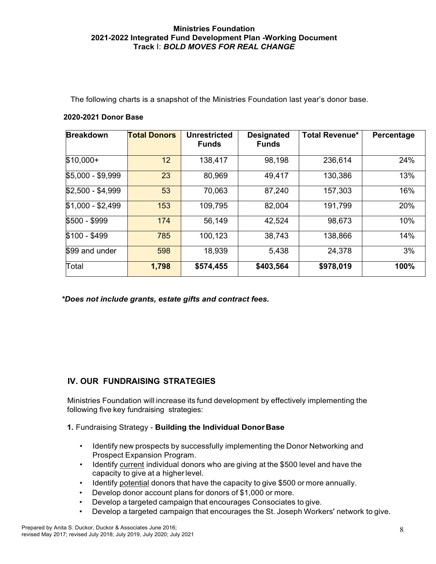The following charts is a snapshot of the Ministries Foundation last year's donor base.

## **2020-2021 Donor Base**

| <b>Breakdown</b>  | <b>Total Donors</b> | <b>Unrestricted</b><br><b>Funds</b> | <b>Designated</b><br><b>Funds</b> | <b>Total Revenue*</b> | Percentage |
|-------------------|---------------------|-------------------------------------|-----------------------------------|-----------------------|------------|
| $$10,000+$        | 12                  | 138,417                             | 98,198                            | 236,614               | 24%        |
| \$5,000 - \$9,999 | 23                  | 80,969                              | 49,417                            | 130,386               | 13%        |
| $$2,500 - $4,999$ | 53                  | 70,063                              | 87,240                            | 157,303               | 16%        |
| $$1,000 - $2,499$ | 153                 | 109,795                             | 82,004                            | 191,799               | 20%        |
| \$500 - \$999     | 174                 | 56,149                              | 42,524                            | 98,673                | 10%        |
| \$100 - \$499     | 785                 | 100,123                             | 38,743                            | 138,866               | 14%        |
| \$99 and under    | 598                 | 18,939                              | 5,438                             | 24,378                | 3%         |
| Total             | 1,798               | \$574,455                           | \$403,564                         | \$978,019             | 100%       |

*\*Does not include grants, estate gifts and contract fees.*

# **IV. OUR FUNDRAISING STRATEGIES**

Ministries Foundation will increase its fund development by effectively implementing the following five key fundraising strategies:

## **1.** Fundraising Strategy - **Building the Individual DonorBase**

- Identify new prospects by successfully implementing the Donor Networking and Prospect Expansion Program.
- Identify current individual donors who are giving at the \$500 level and have the capacity to give at a higherlevel.
- Identify potential donors that have the capacity to give \$500 or more annually.
- Develop donor account plans for donors of \$1,000 or more.
- Develop a targeted campaign that encourages Consociates to give.
- Develop a targeted campaign that encourages the St. Joseph Workers' network to give.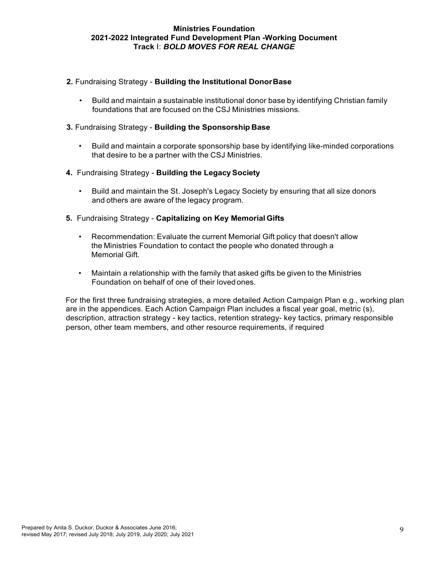- **2.** Fundraising Strategy **Building the Institutional DonorBase**
	- Build and maintain a sustainable institutional donor base by identifying Christian family foundations that are focused on the CSJ Ministries missions.
- **3.** Fundraising Strategy **Building the Sponsorship Base**
	- Build and maintain a corporate sponsorship base by identifying like-minded corporations that desire to be a partner with the CSJ Ministries.
- **4.** Fundraising Strategy **Building the LegacySociety**
	- Build and maintain the St. Joseph's Legacy Society by ensuring that all size donors and others are aware of the legacy program.
- **5.** Fundraising Strategy **Capitalizing on Key Memorial Gifts**
	- Recommendation: Evaluate the current Memorial Gift policy that doesn't allow the Ministries Foundation to contact the people who donated through a Memorial Gift.
	- Maintain a relationship with the family that asked gifts be given to the Ministries Foundation on behalf of one of their lovedones.

For the first three fundraising strategies, a more detailed Action Campaign Plan e.g., working plan are in the appendices. Each Action Campaign Plan includes a fiscal year goal, metric (s), description, attraction strategy - key tactics, retention strategy- key tactics, primary responsible person, other team members, and other resource requirements, if required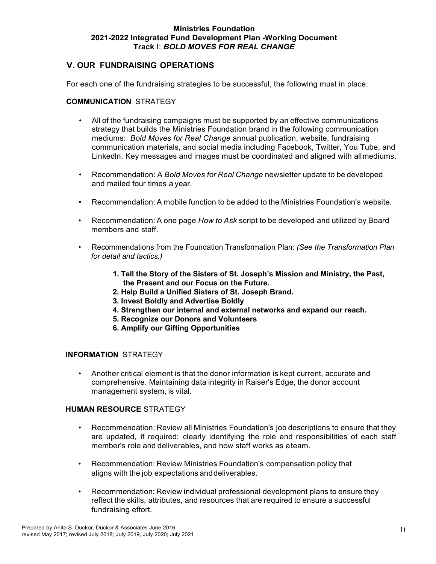# **V. OUR FUNDRAISING OPERATIONS**

For each one of the fundraising strategies to be successful, the following must in place:

## **COMMUNICATION** STRATEGY

- All of the fundraising campaigns must be supported by an effective communications strategy that builds the Ministries Foundation brand in the following communication mediums: *Bold Moves for Real Change* annual publication, website, fundraising communication materials, and social media including Facebook, Twitter, You Tube, and Linkedln. Key messages and images must be coordinated and aligned with allmediums.
- Recommendation: A *Bold Moves for Real Change* newsletter update to be developed and mailed four times a year.
- Recommendation: A mobile function to be added to the Ministries Foundation's website.
- Recommendation: A one page *How to Ask* script to be developed and utilized by Board members and staff.
- Recommendations from the Foundation Transformation Plan: *(See the Transformation Plan for detail and tactics.)*
	- **1. Tell the Story of the Sisters of St. Joseph's Mission and Ministry, the Past, the Present and our Focus on the Future.**
	- **2. Help Build a Unified Sisters of St. Joseph Brand.**
	- **3. Invest Boldly and Advertise Boldly**
	- **4. Strengthen our internal and external networks and expand our reach.**
	- **5. Recognize our Donors and Volunteers**
	- **6. Amplify our Gifting Opportunities**

#### **INFORMATION** STRATEGY

• Another critical element is that the donor information is kept current, accurate and comprehensive. Maintaining data integrity in Raiser's Edge, the donor account management system, is vital.

#### **HUMAN RESOURCE** STRATEGY

- Recommendation: Review all Ministries Foundation's job descriptions to ensure that they are updated, if required; clearly identifying the role and responsibilities of each staff member's role and deliverables, and how staff works as ateam.
- Recommendation: Review Ministries Foundation's compensation policy that aligns with the job expectations anddeliverables.
- Recommendation: Review individual professional development plans to ensure they reflect the skills, attributes, and resources that are required to ensure a successful fundraising effort.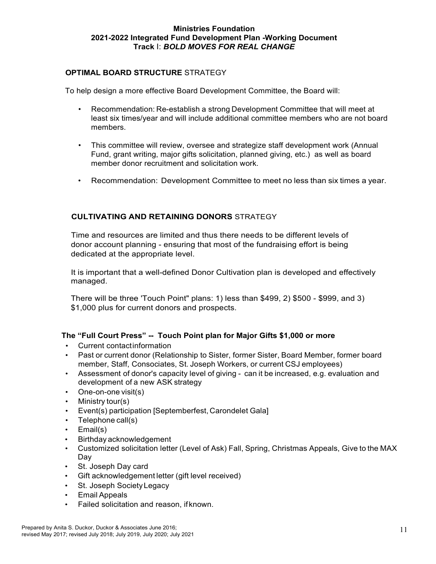## **OPTIMAL BOARD STRUCTURE** STRATEGY

To help design a more effective Board Development Committee, the Board will:

- Recommendation: Re-establish a strong Development Committee that will meet at least six times/year and will include additional committee members who are not board members.
- This committee will review, oversee and strategize staff development work (Annual Fund, grant writing, major gifts solicitation, planned giving, etc.) as well as board member donor recruitment and solicitation work.
- Recommendation: Development Committee to meet no less than six times a year.

## **CULTIVATING AND RETAINING DONORS** STRATEGY

Time and resources are limited and thus there needs to be different levels of donor account planning - ensuring that most of the fundraising effort is being dedicated at the appropriate level.

It is important that a well-defined Donor Cultivation plan is developed and effectively managed.

There will be three 'Touch Point" plans: 1) less than \$499, 2) \$500 - \$999, and 3) \$1,000 plus for current donors and prospects.

## **The "Full Court Press" -- Touch Point plan for Major Gifts \$1,000 or more**

- Current contactinformation
- Past or current donor (Relationship to Sister, former Sister, Board Member, former board member, Staff, Consociates, St. Joseph Workers, or current CSJ employees)
- Assessment of donor's capacity level of giving can it be increased, e.g. evaluation and development of a new ASK strategy
- One-on-one visit(s)
- Ministry tour(s)
- Event(s) participation [Septemberfest, Carondelet Gala]
- Telephone call(s)
- Email(s)
- Birthday acknowledgement
- Customized solicitation letter (Level of Ask) Fall, Spring, Christmas Appeals, Give to the MAX Day
- St. Joseph Day card
- Gift acknowledgement letter (gift level received)
- St. Joseph Society Legacy
- Email Appeals
- Failed solicitation and reason, if known.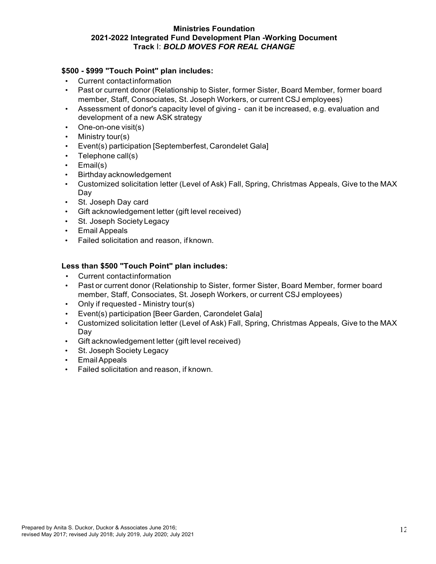## **\$500 - \$999 "Touch Point" plan includes:**

- Current contactinformation
- Past or current donor (Relationship to Sister, former Sister, Board Member, former board member, Staff, Consociates, St. Joseph Workers, or current CSJ employees)
- Assessment of donor's capacity level of giving can it be increased, e.g. evaluation and development of a new ASK strategy
- One-on-one visit(s)
- Ministry tour(s)
- Event(s) participation [Septemberfest, Carondelet Gala]
- Telephone call(s)
- Email(s)
- Birthday acknowledgement
- Customized solicitation letter (Level of Ask) Fall, Spring, Christmas Appeals, Give to the MAX Day
- St. Joseph Day card
- Gift acknowledgement letter (gift level received)
- St. Joseph Society Legacy
- Email Appeals
- Failed solicitation and reason, if known.

# **Less than \$500 "Touch Point" plan includes:**

- Current contactinformation
- Past or current donor (Relationship to Sister, former Sister, Board Member, former board member, Staff, Consociates, St. Joseph Workers, or current CSJ employees)
- Only if requested Ministry tour(s)
- Event(s) participation [Beer Garden, Carondelet Gala]
- Customized solicitation letter (Level of Ask) Fall, Spring, Christmas Appeals, Give to the MAX Day
- Gift acknowledgement letter (gift level received)
- St. Joseph Society Legacy
- EmailAppeals
- Failed solicitation and reason, if known.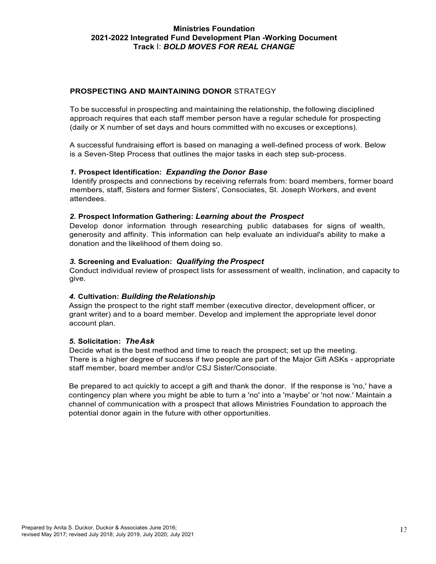## **PROSPECTING AND MAINTAINING DONOR** STRATEGY

To be successful in prospecting and maintaining the relationship, the following disciplined approach requires that each staff member person have a regular schedule for prospecting (daily or X number of set days and hours committed with no excuses or exceptions).

A successful fundraising effort is based on managing a well-defined process of work. Below is a Seven-Step Process that outlines the major tasks in each step sub-process.

## *1.* **Prospect Identification:** *Expanding the Donor Base*

Identify prospects and connections by receiving referrals from: board members, former board members, staff, Sisters and former Sisters', Consociates, St. Joseph Workers, and event attendees.

#### *2.* **Prospect Information Gathering:** *Learning about the Prospect*

Develop donor information through researching public databases for signs of wealth, generosity and affinity. This information can help evaluate an individual's ability to make a donation and the likelihood of them doing so.

#### *3.* **Screening and Evaluation:** *Qualifying the Prospect*

Conduct individual review of prospect lists for assessment of wealth, inclination, and capacity to give.

## *4.* **Cultivation:** *Building the Relationship*

Assign the prospect to the right staff member (executive director, development officer, or grant writer) and to a board member. Develop and implement the appropriate level donor account plan.

#### *5.* **Solicitation:** *TheAsk*

Decide what is the best method and time to reach the prospect; set up the meeting. There is a higher degree of success if two people are part of the Major Gift ASKs - appropriate staff member, board member and/or CSJ Sister/Consociate.

Be prepared to act quickly to accept a gift and thank the donor. If the response is 'no,' have a contingency plan where you might be able to turn a 'no' into a 'maybe' or 'not now.' Maintain a channel of communication with a prospect that allows Ministries Foundation to approach the potential donor again in the future with other opportunities.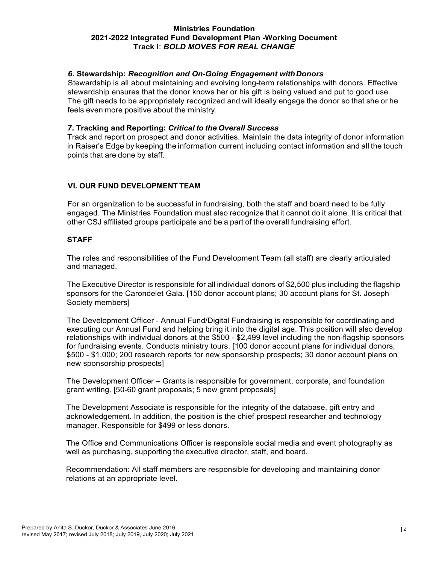## *6.* **Stewardship:** *Recognition and On-Going Engagement withDonors*

Stewardship is all about maintaining and evolving long-term relationships with donors. Effective stewardship ensures that the donor knows her or his gift is being valued and put to good use. The gift needs to be appropriately recognized and will ideally engage the donor so that she or he feels even more positive about the ministry.

## *7.* **Tracking and Reporting:** *Critical to the Overall Success*

Track and report on prospect and donor activities. Maintain the data integrity of donor information in Raiser's Edge by keeping the information current including contact information and all the touch points that are done by staff.

## **VI. OUR FUND DEVELOPMENT TEAM**

For an organization to be successful in fundraising, both the staff and board need to be fully engaged. The Ministries Foundation must also recognize that it cannot do it alone. It is critical that other CSJ affiliated groups participate and be a part of the overall fundraising effort.

## **STAFF**

The roles and responsibilities of the Fund Development Team (all staff) are clearly articulated and managed.

The Executive Director is responsible for all individual donors of \$2,500 plus including the flagship sponsors for the Carondelet Gala. [150 donor account plans; 30 account plans for St. Joseph Society members]

The Development Officer - Annual Fund/Digital Fundraising is responsible for coordinating and executing our Annual Fund and helping bring it into the digital age. This position will also develop relationships with individual donors at the \$500 - \$2,499 level including the non-flagship sponsors for fundraising events. Conducts ministry tours. [100 donor account plans for individual donors, \$500 - \$1,000; 200 research reports for new sponsorship prospects; 30 donor account plans on new sponsorship prospects]

The Development Officer – Grants is responsible for government, corporate, and foundation grant writing. [50-60 grant proposals; 5 new grant proposals]

The Development Associate is responsible for the integrity of the database, gift entry and acknowledgement. In addition, the position is the chief prospect researcher and technology manager. Responsible for \$499 or less donors.

The Office and Communications Officer is responsible social media and event photography as well as purchasing, supporting the executive director, staff, and board.

Recommendation: All staff members are responsible for developing and maintaining donor relations at an appropriate level.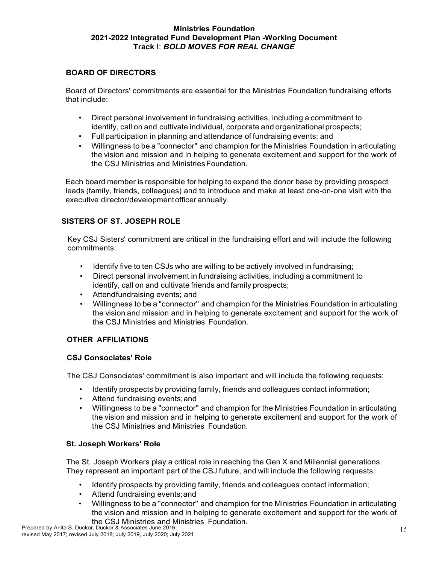## **BOARD OF DIRECTORS**

Board of Directors' commitments are essential for the Ministries Foundation fundraising efforts that include:

- Direct personal involvement in fundraising activities, including a commitment to identify, call on and cultivate individual, corporate and organizational prospects;
- Full participation in planning and attendance of fundraising events; and
- Willingness to be a "connector'' and champion for the Ministries Foundation in articulating the vision and mission and in helping to generate excitement and support for the work of the CSJ Ministries and Ministries Foundation.

Each board member is responsible for helping to expand the donor base by providing prospect leads (family, friends, colleagues) and to introduce and make at least one-on-one visit with the executive director/developmentofficer annually.

# **SISTERS OF ST. JOSEPH ROLE**

Key CSJ Sisters' commitment are critical in the fundraising effort and will include the following commitments:

- Identify five to ten CSJs who are willing to be actively involved in fundraising;
- Direct personal involvement in fundraising activities, including a commitment to identify, call on and cultivate friends and family prospects;
- Attendfundraising events; and
- Willingness to be a "connector'' and champion for the Ministries Foundation in articulating the vision and mission and in helping to generate excitement and support for the work of the CSJ Ministries and Ministries Foundation.

# **OTHER AFFILIATIONS**

## **CSJ Consociates' Role**

The CSJ Consociates' commitment is also important and will include the following requests:

- Identify prospects by providing family, friends and colleagues contact information;
- Attend fundraising events; and
- Willingness to be a "connector'' and champion for the Ministries Foundation in articulating the vision and mission and in helping to generate excitement and support for the work of the CSJ Ministries and Ministries Foundation.

## **St. Joseph Workers' Role**

The St. Joseph Workers play a critical role in reaching the Gen X and Millennial generations. They represent an important part of the CSJ future, and will include the following requests:

- Identify prospects by providing family, friends and colleagues contact information;
- Attend fundraising events; and
- Willingness to be a "connector'' and champion for the Ministries Foundation in articulating the vision and mission and in helping to generate excitement and support for the work of the CSJ Ministries and Ministries Foundation.